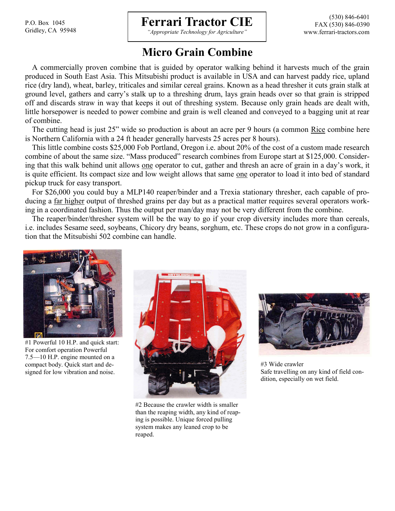P.O. Box 1045 Gridley, CA 95948

## **Ferrari Tractor CIE**

*"Appropriate Technology for Agriculture"*

## **Micro Grain Combine**

A commercially proven combine that is guided by operator walking behind it harvests much of the grain produced in South East Asia. This Mitsubishi product is available in USA and can harvest paddy rice, upland rice (dry land), wheat, barley, triticales and similar cereal grains. Known as a head thresher it cuts grain stalk at ground level, gathers and carry's stalk up to a threshing drum, lays grain heads over so that grain is stripped off and discards straw in way that keeps it out of threshing system. Because only grain heads are dealt with, little horsepower is needed to power combine and grain is well cleaned and conveyed to a bagging unit at rear of combine.

The cutting head is just 25" wide so production is about an acre per 9 hours (a common Rice combine here is Northern California with a 24 ft header generally harvests 25 acres per 8 hours).

This little combine costs \$25,000 Fob Portland, Oregon i.e. about 20% of the cost of a custom made research combine of about the same size. "Mass produced" research combines from Europe start at \$125,000. Considering that this walk behind unit allows one operator to cut, gather and thresh an acre of grain in a day's work, it is quite efficient. Its compact size and low weight allows that same one operator to load it into bed of standard pickup truck for easy transport.

For \$26,000 you could buy a MLP140 reaper/binder and a Trexia stationary thresher, each capable of producing a far higher output of threshed grains per day but as a practical matter requires several operators working in a coordinated fashion. Thus the output per man/day may not be very different from the combine.

The reaper/binder/thresher system will be the way to go if your crop diversity includes more than cereals, i.e. includes Sesame seed, soybeans, Chicory dry beans, sorghum, etc. These crops do not grow in a configuration that the Mitsubishi 502 combine can handle.



#1 Powerful 10 H.P. and quick start: For comfort operation Powerful 7.5—10 H.P. engine mounted on a compact body. Quick start and designed for low vibration and noise.



#2 Because the crawler width is smaller than the reaping width, any kind of reaping is possible. Unique forced pulling system makes any leaned crop to be reaped.



#3 Wide crawler Safe travelling on any kind of field condition, especially on wet field.